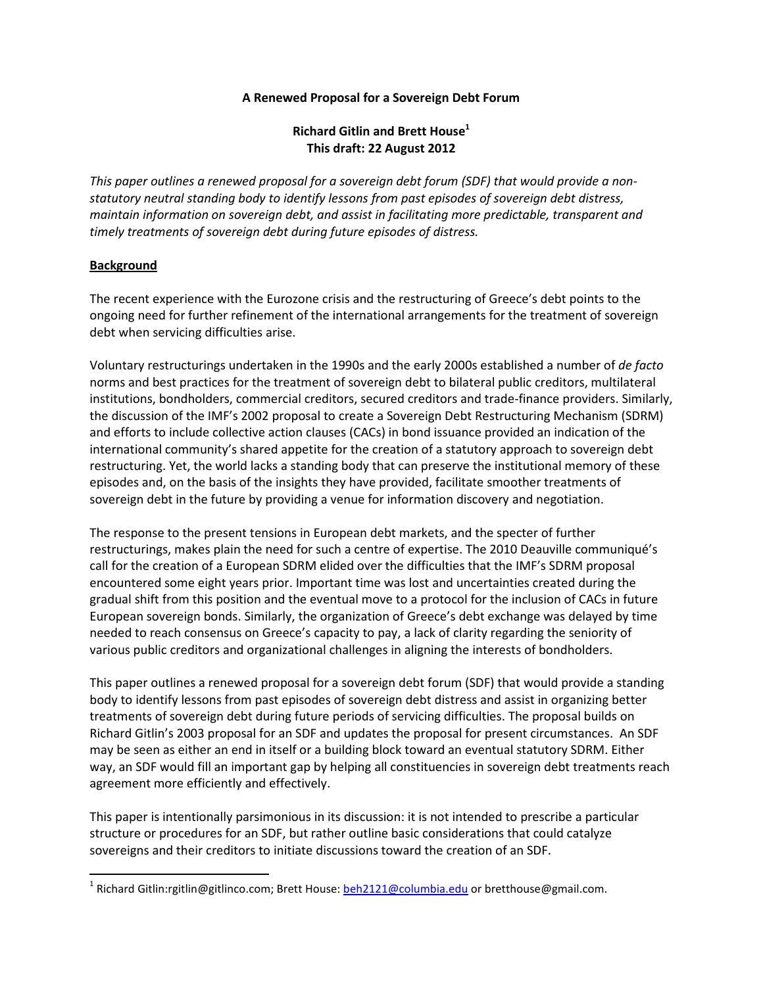### **A Renewed Proposal for a Sovereign Debt Forum**

# **Richard Gitlin and Brett House<sup>1</sup> This draft: 22 August 2012**

*This paper outlines a renewed proposal for a sovereign debt forum (SDF) that would provide a nonstatutory neutral standing body to identify lessons from past episodes of sovereign debt distress, maintain information on sovereign debt, and assist in facilitating more predictable, transparent and timely treatments of sovereign debt during future episodes of distress.* 

## **Background**

.<br>-

The recent experience with the Eurozone crisis and the restructuring of Greece's debt points to the ongoing need for further refinement of the international arrangements for the treatment of sovereign debt when servicing difficulties arise.

Voluntary restructurings undertaken in the 1990s and the early 2000s established a number of *de facto* norms and best practices for the treatment of sovereign debt to bilateral public creditors, multilateral institutions, bondholders, commercial creditors, secured creditors and trade-finance providers. Similarly, the discussion of the IMF's 2002 proposal to create a Sovereign Debt Restructuring Mechanism (SDRM) and efforts to include collective action clauses (CACs) in bond issuance provided an indication of the international community's shared appetite for the creation of a statutory approach to sovereign debt restructuring. Yet, the world lacks a standing body that can preserve the institutional memory of these episodes and, on the basis of the insights they have provided, facilitate smoother treatments of sovereign debt in the future by providing a venue for information discovery and negotiation.

The response to the present tensions in European debt markets, and the specter of further restructurings, makes plain the need for such a centre of expertise. The 2010 Deauville communiqué's call for the creation of a European SDRM elided over the difficulties that the IMF's SDRM proposal encountered some eight years prior. Important time was lost and uncertainties created during the gradual shift from this position and the eventual move to a protocol for the inclusion of CACs in future European sovereign bonds. Similarly, the organization of Greece's debt exchange was delayed by time needed to reach consensus on Greece's capacity to pay, a lack of clarity regarding the seniority of various public creditors and organizational challenges in aligning the interests of bondholders.

This paper outlines a renewed proposal for a sovereign debt forum (SDF) that would provide a standing body to identify lessons from past episodes of sovereign debt distress and assist in organizing better treatments of sovereign debt during future periods of servicing difficulties. The proposal builds on Richard Gitlin's 2003 proposal for an SDF and updates the proposal for present circumstances. An SDF may be seen as either an end in itself or a building block toward an eventual statutory SDRM. Either way, an SDF would fill an important gap by helping all constituencies in sovereign debt treatments reach agreement more efficiently and effectively.

This paper is intentionally parsimonious in its discussion: it is not intended to prescribe a particular structure or procedures for an SDF, but rather outline basic considerations that could catalyze sovereigns and their creditors to initiate discussions toward the creation of an SDF.

<sup>&</sup>lt;sup>1</sup> Richard Gitlin:rgitlin@gitlinco.com; Brett House: <u>beh2121@columbia.edu</u> or bretthouse@gmail.com.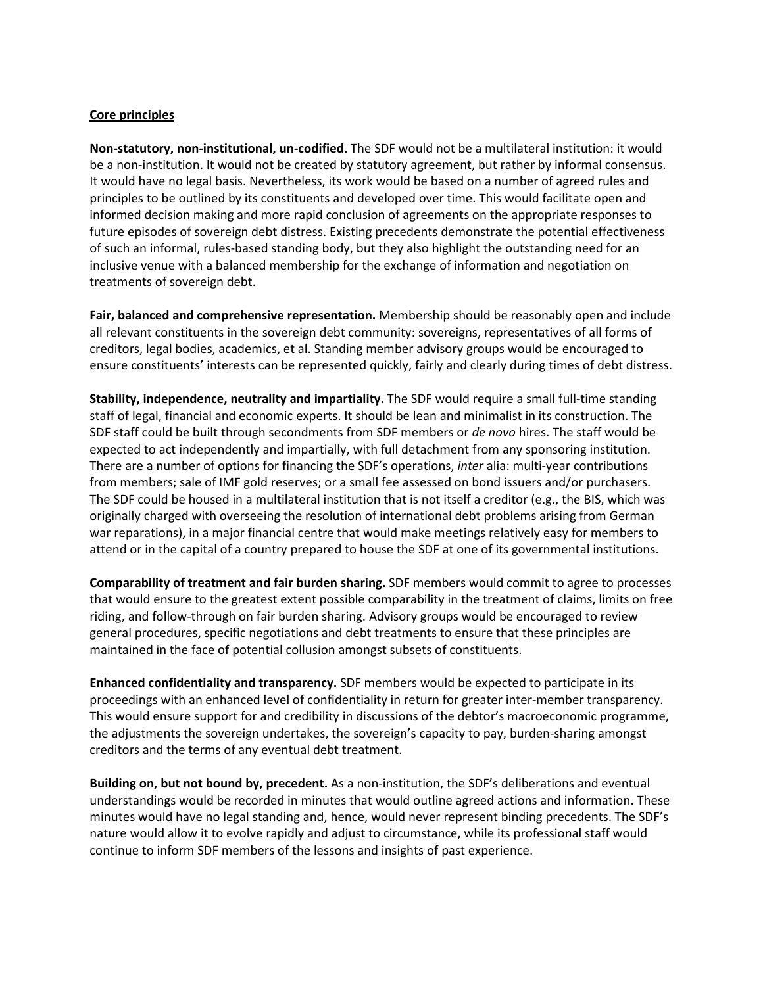### **Core principles**

**Non-statutory, non-institutional, un-codified.** The SDF would not be a multilateral institution: it would be a non-institution. It would not be created by statutory agreement, but rather by informal consensus. It would have no legal basis. Nevertheless, its work would be based on a number of agreed rules and principles to be outlined by its constituents and developed over time. This would facilitate open and informed decision making and more rapid conclusion of agreements on the appropriate responses to future episodes of sovereign debt distress. Existing precedents demonstrate the potential effectiveness of such an informal, rules-based standing body, but they also highlight the outstanding need for an inclusive venue with a balanced membership for the exchange of information and negotiation on treatments of sovereign debt.

**Fair, balanced and comprehensive representation.** Membership should be reasonably open and include all relevant constituents in the sovereign debt community: sovereigns, representatives of all forms of creditors, legal bodies, academics, et al. Standing member advisory groups would be encouraged to ensure constituents' interests can be represented quickly, fairly and clearly during times of debt distress.

**Stability, independence, neutrality and impartiality.** The SDF would require a small full-time standing staff of legal, financial and economic experts. It should be lean and minimalist in its construction. The SDF staff could be built through secondments from SDF members or *de novo* hires. The staff would be expected to act independently and impartially, with full detachment from any sponsoring institution. There are a number of options for financing the SDF's operations, *inter* alia: multi-year contributions from members; sale of IMF gold reserves; or a small fee assessed on bond issuers and/or purchasers. The SDF could be housed in a multilateral institution that is not itself a creditor (e.g., the BIS, which was originally charged with overseeing the resolution of international debt problems arising from German war reparations), in a major financial centre that would make meetings relatively easy for members to attend or in the capital of a country prepared to house the SDF at one of its governmental institutions.

**Comparability of treatment and fair burden sharing.** SDF members would commit to agree to processes that would ensure to the greatest extent possible comparability in the treatment of claims, limits on free riding, and follow-through on fair burden sharing. Advisory groups would be encouraged to review general procedures, specific negotiations and debt treatments to ensure that these principles are maintained in the face of potential collusion amongst subsets of constituents.

**Enhanced confidentiality and transparency.** SDF members would be expected to participate in its proceedings with an enhanced level of confidentiality in return for greater inter-member transparency. This would ensure support for and credibility in discussions of the debtor's macroeconomic programme, the adjustments the sovereign undertakes, the sovereign's capacity to pay, burden-sharing amongst creditors and the terms of any eventual debt treatment.

**Building on, but not bound by, precedent.** As a non-institution, the SDF's deliberations and eventual understandings would be recorded in minutes that would outline agreed actions and information. These minutes would have no legal standing and, hence, would never represent binding precedents. The SDF's nature would allow it to evolve rapidly and adjust to circumstance, while its professional staff would continue to inform SDF members of the lessons and insights of past experience.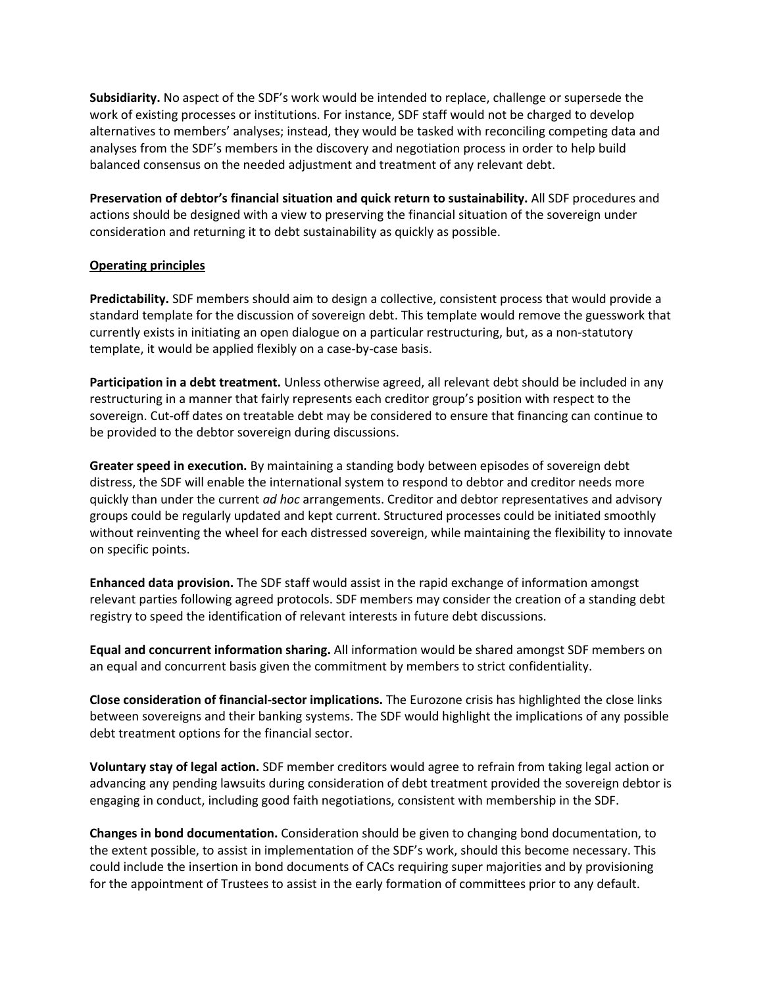**Subsidiarity.** No aspect of the SDF's work would be intended to replace, challenge or supersede the work of existing processes or institutions. For instance, SDF staff would not be charged to develop alternatives to members' analyses; instead, they would be tasked with reconciling competing data and analyses from the SDF's members in the discovery and negotiation process in order to help build balanced consensus on the needed adjustment and treatment of any relevant debt.

**Preservation of debtor's financial situation and quick return to sustainability.** All SDF procedures and actions should be designed with a view to preserving the financial situation of the sovereign under consideration and returning it to debt sustainability as quickly as possible.

## **Operating principles**

**Predictability.** SDF members should aim to design a collective, consistent process that would provide a standard template for the discussion of sovereign debt. This template would remove the guesswork that currently exists in initiating an open dialogue on a particular restructuring, but, as a non-statutory template, it would be applied flexibly on a case-by-case basis.

**Participation in a debt treatment.** Unless otherwise agreed, all relevant debt should be included in any restructuring in a manner that fairly represents each creditor group's position with respect to the sovereign. Cut-off dates on treatable debt may be considered to ensure that financing can continue to be provided to the debtor sovereign during discussions.

**Greater speed in execution.** By maintaining a standing body between episodes of sovereign debt distress, the SDF will enable the international system to respond to debtor and creditor needs more quickly than under the current *ad hoc* arrangements. Creditor and debtor representatives and advisory groups could be regularly updated and kept current. Structured processes could be initiated smoothly without reinventing the wheel for each distressed sovereign, while maintaining the flexibility to innovate on specific points.

**Enhanced data provision.** The SDF staff would assist in the rapid exchange of information amongst relevant parties following agreed protocols. SDF members may consider the creation of a standing debt registry to speed the identification of relevant interests in future debt discussions.

**Equal and concurrent information sharing.** All information would be shared amongst SDF members on an equal and concurrent basis given the commitment by members to strict confidentiality.

**Close consideration of financial-sector implications.** The Eurozone crisis has highlighted the close links between sovereigns and their banking systems. The SDF would highlight the implications of any possible debt treatment options for the financial sector.

**Voluntary stay of legal action.** SDF member creditors would agree to refrain from taking legal action or advancing any pending lawsuits during consideration of debt treatment provided the sovereign debtor is engaging in conduct, including good faith negotiations, consistent with membership in the SDF.

**Changes in bond documentation.** Consideration should be given to changing bond documentation, to the extent possible, to assist in implementation of the SDF's work, should this become necessary. This could include the insertion in bond documents of CACs requiring super majorities and by provisioning for the appointment of Trustees to assist in the early formation of committees prior to any default.